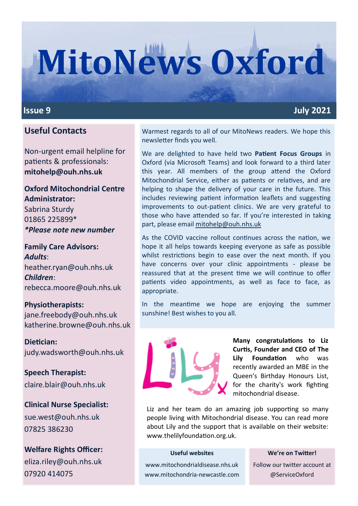# **MitoNews Oxford**

#### **Issue 9** July 2021

### **Useful Contacts**

Non-urgent email helpline for patients & professionals: **mitohelp@ouh.nhs.uk**

#### **Oxford Mitochondrial Centre Administrator:** Sabrina Sturdy

01865 225899\* *\*Please note new number*

#### **Family Care Advisors:**  *Adults*: heather.ryan@ouh.nhs.uk *Children*: rebecca.moore@ouh.nhs.uk

#### **Physiotherapists:** jane.freebody@ouh.nhs.uk katherine.browne@ouh.nhs.uk

**Dietician:** judy.wadsworth@ouh.nhs.uk

**Speech Therapist:** claire.blair@ouh.nhs.uk

**Clinical Nurse Specialist:** sue.west@ouh.nhs.uk 07825 386230

**Welfare Rights Officer:** eliza.riley@ouh.nhs.uk 07920 414075

Warmest regards to all of our MitoNews readers. We hope this newsletter finds you well.

We are delighted to have held two **Patient Focus Groups** in Oxford (via Microsoft Teams) and look forward to a third later this year. All members of the group attend the Oxford Mitochondrial Service, either as patients or relatives, and are helping to shape the delivery of your care in the future. This includes reviewing patient information leaflets and suggesting improvements to out-patient clinics. We are very grateful to those who have attended so far. If you're interested in taking part, please email [mitohelp@ouh.nhs.uk](mailto:mitohelp@ouh.nhs.uk)

As the COVID vaccine rollout continues across the nation, we hope it all helps towards keeping everyone as safe as possible whilst restrictions begin to ease over the next month. If you have concerns over your clinic appointments - please be reassured that at the present time we will continue to offer patients video appointments, as well as face to face, as appropriate.

In the meantime we hope are enjoying the summer sunshine! Best wishes to you all.



**Many congratulations to Liz Curtis, Founder and CEO of The Lily Foundation** who was recently awarded an MBE in the Queen's Birthday Honours List, for the charity's work fighting mitochondrial disease.

Liz and her team do an amazing job supporting so many people living with Mitochondrial disease. You can read more about Lily and the support that is available on their website: www.thelilyfoundation.org.uk.

#### **Useful websites**

#### **We're on Twitter!**

www.mitochondrialdisease.nhs.uk www.mitochondria-newcastle.com Follow our twitter account at @ServiceOxford